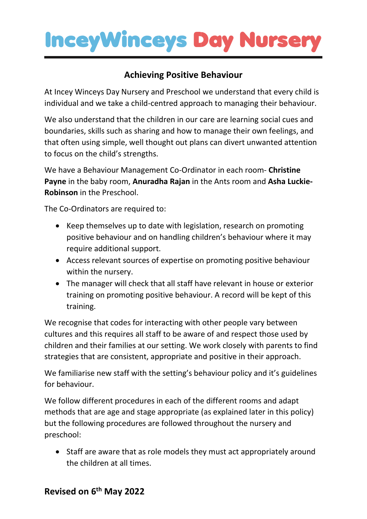## **InceyWinceys Day Nurser**

### **Achieving Positive Behaviour**

At Incey Winceys Day Nursery and Preschool we understand that every child is individual and we take a child-centred approach to managing their behaviour.

We also understand that the children in our care are learning social cues and boundaries, skills such as sharing and how to manage their own feelings, and that often using simple, well thought out plans can divert unwanted attention to focus on the child's strengths.

We have a Behaviour Management Co-Ordinator in each room- **Christine Payne** in the baby room, **Anuradha Rajan** in the Ants room and **Asha Luckie-Robinson** in the Preschool.

The Co-Ordinators are required to:

- Keep themselves up to date with legislation, research on promoting positive behaviour and on handling children's behaviour where it may require additional support.
- Access relevant sources of expertise on promoting positive behaviour within the nursery.
- The manager will check that all staff have relevant in house or exterior training on promoting positive behaviour. A record will be kept of this training.

We recognise that codes for interacting with other people vary between cultures and this requires all staff to be aware of and respect those used by children and their families at our setting. We work closely with parents to find strategies that are consistent, appropriate and positive in their approach.

We familiarise new staff with the setting's behaviour policy and it's guidelines for behaviour.

We follow different procedures in each of the different rooms and adapt methods that are age and stage appropriate (as explained later in this policy) but the following procedures are followed throughout the nursery and preschool:

• Staff are aware that as role models they must act appropriately around the children at all times.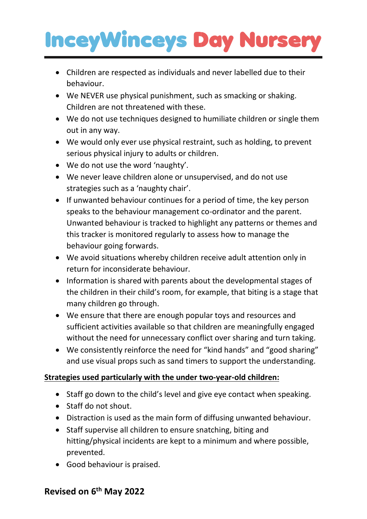# **InceyWinceys Day Nursery**

- Children are respected as individuals and never labelled due to their behaviour.
- We NEVER use physical punishment, such as smacking or shaking. Children are not threatened with these.
- We do not use techniques designed to humiliate children or single them out in any way.
- We would only ever use physical restraint, such as holding, to prevent serious physical injury to adults or children.
- We do not use the word 'naughty'.
- We never leave children alone or unsupervised, and do not use strategies such as a 'naughty chair'.
- If unwanted behaviour continues for a period of time, the key person speaks to the behaviour management co-ordinator and the parent. Unwanted behaviour is tracked to highlight any patterns or themes and this tracker is monitored regularly to assess how to manage the behaviour going forwards.
- We avoid situations whereby children receive adult attention only in return for inconsiderate behaviour.
- Information is shared with parents about the developmental stages of the children in their child's room, for example, that biting is a stage that many children go through.
- We ensure that there are enough popular toys and resources and sufficient activities available so that children are meaningfully engaged without the need for unnecessary conflict over sharing and turn taking.
- We consistently reinforce the need for "kind hands" and "good sharing" and use visual props such as sand timers to support the understanding.

### **Strategies used particularly with the under two-year-old children:**

- Staff go down to the child's level and give eye contact when speaking.
- Staff do not shout.
- Distraction is used as the main form of diffusing unwanted behaviour.
- Staff supervise all children to ensure snatching, biting and hitting/physical incidents are kept to a minimum and where possible, prevented.
- Good behaviour is praised.

### **Revised on 6 th May 2022**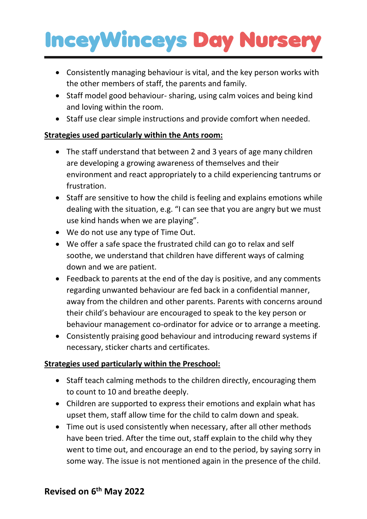## **InceyWinceys Day Nursery**

- Consistently managing behaviour is vital, and the key person works with the other members of staff, the parents and family.
- Staff model good behaviour- sharing, using calm voices and being kind and loving within the room.
- Staff use clear simple instructions and provide comfort when needed.

### **Strategies used particularly within the Ants room:**

- The staff understand that between 2 and 3 years of age many children are developing a growing awareness of themselves and their environment and react appropriately to a child experiencing tantrums or frustration.
- Staff are sensitive to how the child is feeling and explains emotions while dealing with the situation, e.g. "I can see that you are angry but we must use kind hands when we are playing".
- We do not use any type of Time Out.
- We offer a safe space the frustrated child can go to relax and self soothe, we understand that children have different ways of calming down and we are patient.
- Feedback to parents at the end of the day is positive, and any comments regarding unwanted behaviour are fed back in a confidential manner, away from the children and other parents. Parents with concerns around their child's behaviour are encouraged to speak to the key person or behaviour management co-ordinator for advice or to arrange a meeting.
- Consistently praising good behaviour and introducing reward systems if necessary, sticker charts and certificates.

### **Strategies used particularly within the Preschool:**

- Staff teach calming methods to the children directly, encouraging them to count to 10 and breathe deeply.
- Children are supported to express their emotions and explain what has upset them, staff allow time for the child to calm down and speak.
- Time out is used consistently when necessary, after all other methods have been tried. After the time out, staff explain to the child why they went to time out, and encourage an end to the period, by saying sorry in some way. The issue is not mentioned again in the presence of the child.